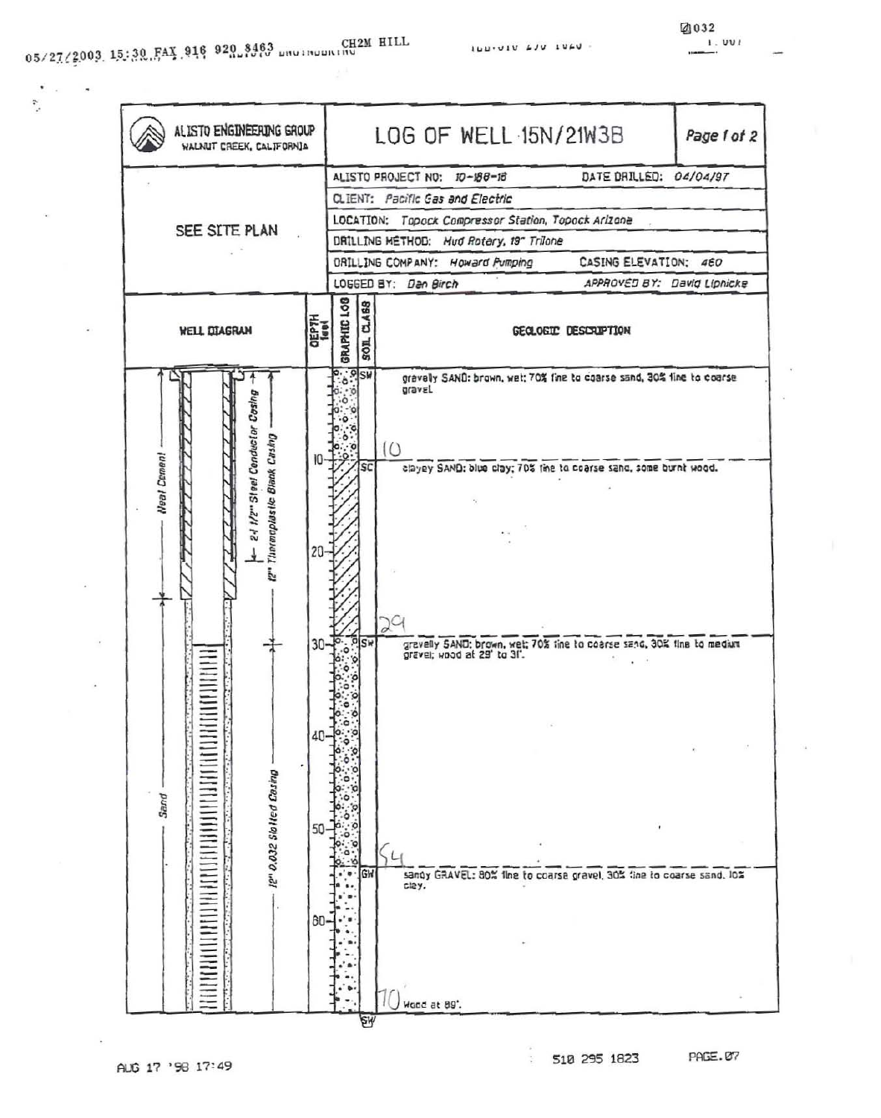ै

ILLIVIU LJU IULU -



÷.